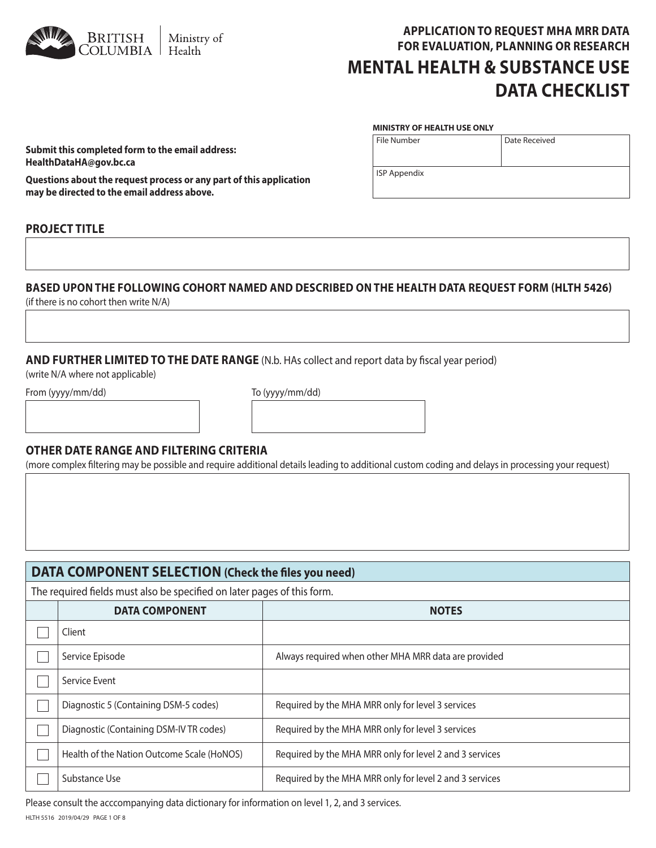

# **APPLICATION TO REQUEST MHA MRR DATA FOR EVALUATION, PLANNING OR RESEARCH MENTAL HEALTH & SUBSTANCE USE DATA CHECKLIST**

Date Received

#### **MINISTRY OF HEALTH USE ONLY**

File Number

ISP Appendix

**Submit this completed form to the email address: HealthDataHA@gov.bc.ca** 

**Questions about the request process or any part of this application may be directed to the email address above.**

### **PROJECT TITLE**

## **BASED UPON THE FOLLOWING COHORT NAMED AND DESCRIBED ON THE HEALTH DATA REQUEST FORM (HLTH 5426)**

(if there is no cohort then write N/A)

### **AND FURTHER LIMITED TO THE DATE RANGE** (N.b. HAs collect and report data by fiscal year period)

(write N/A where not applicable)

From (yyyy/mm/dd) To (yyyy/mm/dd)

#### **OTHER DATE RANGE AND FILTERING CRITERIA**

(more complex filtering may be possible and require additional details leading to additional custom coding and delays in processing your request)

| DATA COMPONENT SELECTION (Check the files you need)                     |                                                         |  |  |  |
|-------------------------------------------------------------------------|---------------------------------------------------------|--|--|--|
| The required fields must also be specified on later pages of this form. |                                                         |  |  |  |
| <b>DATA COMPONENT</b><br><b>NOTES</b>                                   |                                                         |  |  |  |
| Client                                                                  |                                                         |  |  |  |
| Service Episode                                                         | Always required when other MHA MRR data are provided    |  |  |  |
| Service Event                                                           |                                                         |  |  |  |
| Diagnostic 5 (Containing DSM-5 codes)                                   | Required by the MHA MRR only for level 3 services       |  |  |  |
| Diagnostic (Containing DSM-IV TR codes)                                 | Required by the MHA MRR only for level 3 services       |  |  |  |
| Health of the Nation Outcome Scale (HoNOS)                              | Required by the MHA MRR only for level 2 and 3 services |  |  |  |
| Substance Use                                                           | Required by the MHA MRR only for level 2 and 3 services |  |  |  |

Please consult the acccompanying data dictionary for information on level 1, 2, and 3 services.

HLTH 5516 2019/04/29 PAGE 1 OF 8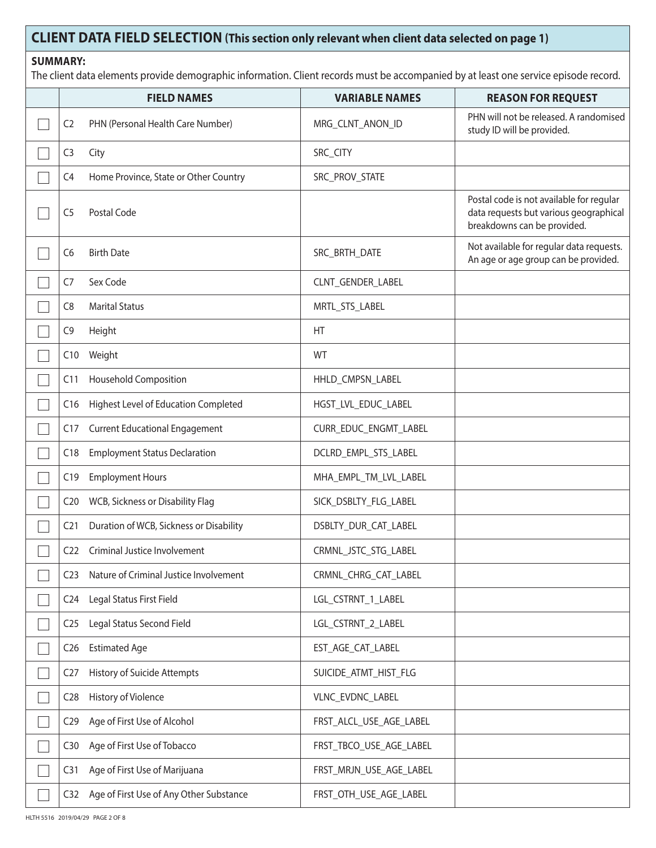# **CLIENT DATA FIELD SELECTION (This section only relevant when client data selected on page 1)**

### **SUMMARY:**

The client data elements provide demographic information. Client records must be accompanied by at least one service episode record.

|                 | <b>FIELD NAMES</b>                      | <b>VARIABLE NAMES</b>   | <b>REASON FOR REQUEST</b>                                                                                         |
|-----------------|-----------------------------------------|-------------------------|-------------------------------------------------------------------------------------------------------------------|
| C <sub>2</sub>  | PHN (Personal Health Care Number)       | MRG_CLNT_ANON_ID        | PHN will not be released. A randomised<br>study ID will be provided.                                              |
| C <sub>3</sub>  | City                                    | SRC_CITY                |                                                                                                                   |
| C <sub>4</sub>  | Home Province, State or Other Country   | SRC_PROV_STATE          |                                                                                                                   |
| C <sub>5</sub>  | Postal Code                             |                         | Postal code is not available for regular<br>data requests but various geographical<br>breakdowns can be provided. |
| C6              | <b>Birth Date</b>                       | SRC_BRTH_DATE           | Not available for regular data requests.<br>An age or age group can be provided.                                  |
| C7              | Sex Code                                | CLNT_GENDER_LABEL       |                                                                                                                   |
| C <sub>8</sub>  | <b>Marital Status</b>                   | MRTL_STS_LABEL          |                                                                                                                   |
| C <sub>9</sub>  | Height                                  | HT                      |                                                                                                                   |
| C10             | Weight                                  | WT                      |                                                                                                                   |
| C11             | <b>Household Composition</b>            | HHLD_CMPSN_LABEL        |                                                                                                                   |
| C16             | Highest Level of Education Completed    | HGST_LVL_EDUC_LABEL     |                                                                                                                   |
| C17             | <b>Current Educational Engagement</b>   | CURR_EDUC_ENGMT_LABEL   |                                                                                                                   |
| C18             | <b>Employment Status Declaration</b>    | DCLRD_EMPL_STS_LABEL    |                                                                                                                   |
| C19             | <b>Employment Hours</b>                 | MHA_EMPL_TM_LVL_LABEL   |                                                                                                                   |
| C <sub>20</sub> | WCB, Sickness or Disability Flag        | SICK_DSBLTY_FLG_LABEL   |                                                                                                                   |
| C <sub>21</sub> | Duration of WCB, Sickness or Disability | DSBLTY_DUR_CAT_LABEL    |                                                                                                                   |
| C <sub>22</sub> | Criminal Justice Involvement            | CRMNL_JSTC_STG_LABEL    |                                                                                                                   |
| C <sub>23</sub> | Nature of Criminal Justice Involvement  | CRMNL_CHRG_CAT_LABEL    |                                                                                                                   |
| C <sub>24</sub> | Legal Status First Field                | LGL_CSTRNT_1_LABEL      |                                                                                                                   |
| C25             | Legal Status Second Field               | LGL_CSTRNT_2_LABEL      |                                                                                                                   |
| C <sub>26</sub> | <b>Estimated Age</b>                    | EST_AGE_CAT_LABEL       |                                                                                                                   |
| C <sub>27</sub> | History of Suicide Attempts             | SUICIDE_ATMT_HIST_FLG   |                                                                                                                   |
| C <sub>28</sub> | History of Violence                     | VLNC EVDNC LABEL        |                                                                                                                   |
| C <sub>29</sub> | Age of First Use of Alcohol             | FRST_ALCL_USE_AGE_LABEL |                                                                                                                   |
| C30             | Age of First Use of Tobacco             | FRST_TBCO_USE_AGE_LABEL |                                                                                                                   |
| C31             | Age of First Use of Marijuana           | FRST_MRJN_USE_AGE_LABEL |                                                                                                                   |
| C32             | Age of First Use of Any Other Substance | FRST_OTH_USE_AGE_LABEL  |                                                                                                                   |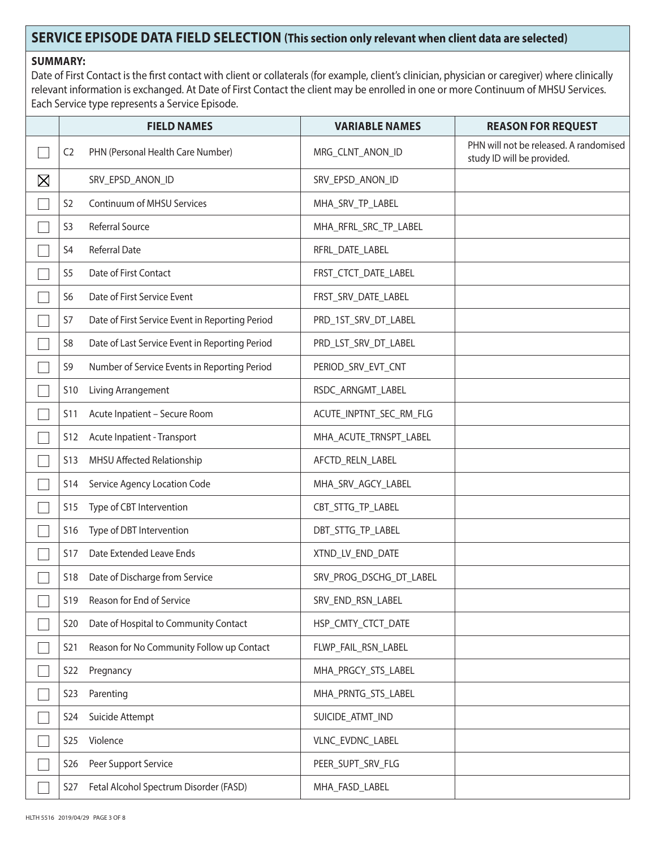# **SERVICE EPISODE DATA FIELD SELECTION (This section only relevant when client data are selected)**

### **SUMMARY:**

Date of First Contact is the first contact with client or collaterals (for example, client's clinician, physician or caregiver) where clinically relevant information is exchanged. At Date of First Contact the client may be enrolled in one or more Continuum of MHSU Services. Each Service type represents a Service Episode.

|             |                  | <b>FIELD NAMES</b>                              | <b>VARIABLE NAMES</b>   | <b>REASON FOR REQUEST</b>                                            |
|-------------|------------------|-------------------------------------------------|-------------------------|----------------------------------------------------------------------|
|             | C <sub>2</sub>   | PHN (Personal Health Care Number)               | MRG_CLNT_ANON_ID        | PHN will not be released. A randomised<br>study ID will be provided. |
| $\boxtimes$ |                  | SRV_EPSD_ANON_ID                                | SRV_EPSD_ANON_ID        |                                                                      |
|             | S <sub>2</sub>   | Continuum of MHSU Services                      | MHA_SRV_TP_LABEL        |                                                                      |
|             | S <sub>3</sub>   | <b>Referral Source</b>                          | MHA_RFRL_SRC_TP_LABEL   |                                                                      |
|             | S4               | Referral Date                                   | RFRL_DATE_LABEL         |                                                                      |
|             | S <sub>5</sub>   | Date of First Contact                           | FRST_CTCT_DATE_LABEL    |                                                                      |
|             | S <sub>6</sub>   | Date of First Service Event                     | FRST_SRV_DATE_LABEL     |                                                                      |
|             | S7               | Date of First Service Event in Reporting Period | PRD_1ST_SRV_DT_LABEL    |                                                                      |
|             | S <sub>8</sub>   | Date of Last Service Event in Reporting Period  | PRD_LST_SRV_DT_LABEL    |                                                                      |
|             | S9               | Number of Service Events in Reporting Period    | PERIOD_SRV_EVT_CNT      |                                                                      |
|             | <b>S10</b>       | Living Arrangement                              | RSDC_ARNGMT_LABEL       |                                                                      |
|             | <b>S11</b>       | Acute Inpatient - Secure Room                   | ACUTE_INPTNT_SEC_RM_FLG |                                                                      |
|             | S12              | Acute Inpatient - Transport                     | MHA_ACUTE_TRNSPT_LABEL  |                                                                      |
|             | <b>S13</b>       | MHSU Affected Relationship                      | AFCTD_RELN_LABEL        |                                                                      |
|             | <b>S14</b>       | Service Agency Location Code                    | MHA_SRV_AGCY_LABEL      |                                                                      |
|             | S15              | Type of CBT Intervention                        | CBT_STTG_TP_LABEL       |                                                                      |
|             | <b>S16</b>       | Type of DBT Intervention                        | DBT_STTG_TP_LABEL       |                                                                      |
|             | <b>S17</b>       | Date Extended Leave Ends                        | XTND_LV_END_DATE        |                                                                      |
|             | <b>S18</b>       | Date of Discharge from Service                  | SRV_PROG_DSCHG_DT_LABEL |                                                                      |
|             | S <sub>19</sub>  | Reason for End of Service                       | SRV_END_RSN_LABEL       |                                                                      |
|             | S <sub>20</sub>  | Date of Hospital to Community Contact           | HSP_CMTY_CTCT_DATE      |                                                                      |
|             | S <sub>21</sub>  | Reason for No Community Follow up Contact       | FLWP_FAIL_RSN_LABEL     |                                                                      |
|             | S22              | Pregnancy                                       | MHA_PRGCY_STS_LABEL     |                                                                      |
|             | S <sub>2</sub> 3 | Parenting                                       | MHA_PRNTG_STS_LABEL     |                                                                      |
|             | S24              | Suicide Attempt                                 | SUICIDE_ATMT_IND        |                                                                      |
|             | <b>S25</b>       | Violence                                        | VLNC_EVDNC_LABEL        |                                                                      |
|             | S <sub>26</sub>  | Peer Support Service                            | PEER_SUPT_SRV_FLG       |                                                                      |
|             | S27              | Fetal Alcohol Spectrum Disorder (FASD)          | MHA_FASD_LABEL          |                                                                      |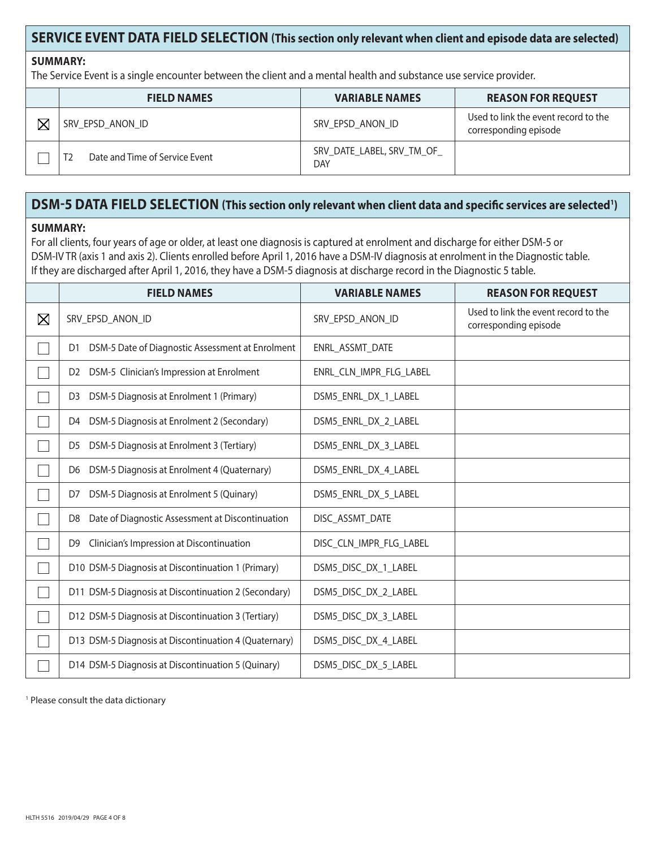## **SERVICE EVENT DATA FIELD SELECTION (This section only relevant when client and episode data are selected)**

#### **SUMMARY:**

The Service Event is a single encounter between the client and a mental health and substance use service provider.

|                         | <b>FIELD NAMES</b>             | <b>VARIABLE NAMES</b>            | <b>REASON FOR REQUEST</b>                                     |
|-------------------------|--------------------------------|----------------------------------|---------------------------------------------------------------|
| $\overline{\mathsf{X}}$ | SRV EPSD ANON ID               | SRV EPSD ANON ID                 | Used to link the event record to the<br>corresponding episode |
|                         | Date and Time of Service Event | SRV DATE LABEL, SRV TM OF<br>DAY |                                                               |

# **DSM-5 DATA FIELD SELECTION (This section only relevant when client data and specific services are selected1 )**

#### **SUMMARY:**

For all clients, four years of age or older, at least one diagnosis is captured at enrolment and discharge for either DSM-5 or DSM-IV TR (axis 1 and axis 2). Clients enrolled before April 1, 2016 have a DSM-IV diagnosis at enrolment in the Diagnostic table. If they are discharged after April 1, 2016, they have a DSM-5 diagnosis at discharge record in the Diagnostic 5 table.

|             | <b>FIELD NAMES</b>                                                 | <b>VARIABLE NAMES</b>   | <b>REASON FOR REQUEST</b>                                     |
|-------------|--------------------------------------------------------------------|-------------------------|---------------------------------------------------------------|
| $\boxtimes$ | SRV_EPSD_ANON_ID                                                   | SRV_EPSD_ANON_ID        | Used to link the event record to the<br>corresponding episode |
|             | DSM-5 Date of Diagnostic Assessment at Enrolment<br>D1             | ENRL_ASSMT_DATE         |                                                               |
|             | DSM-5 Clinician's Impression at Enrolment<br>D <sub>2</sub>        | ENRL CLN IMPR FLG LABEL |                                                               |
|             | DSM-5 Diagnosis at Enrolment 1 (Primary)<br>D <sub>3</sub>         | DSM5_ENRL_DX_1_LABEL    |                                                               |
|             | DSM-5 Diagnosis at Enrolment 2 (Secondary)<br>D4                   | DSM5_ENRL_DX_2_LABEL    |                                                               |
|             | DSM-5 Diagnosis at Enrolment 3 (Tertiary)<br>D <sub>5</sub>        | DSM5_ENRL_DX_3_LABEL    |                                                               |
|             | DSM-5 Diagnosis at Enrolment 4 (Quaternary)<br>D6                  | DSM5_ENRL_DX_4_LABEL    |                                                               |
|             | DSM-5 Diagnosis at Enrolment 5 (Quinary)<br>D7                     | DSM5_ENRL_DX_5_LABEL    |                                                               |
|             | Date of Diagnostic Assessment at Discontinuation<br>D <sub>8</sub> | DISC_ASSMT_DATE         |                                                               |
|             | Clinician's Impression at Discontinuation<br>D9                    | DISC_CLN_IMPR_FLG_LABEL |                                                               |
|             | D10 DSM-5 Diagnosis at Discontinuation 1 (Primary)                 | DSM5_DISC_DX_1_LABEL    |                                                               |
|             | D11 DSM-5 Diagnosis at Discontinuation 2 (Secondary)               | DSM5_DISC_DX_2_LABEL    |                                                               |
|             | D12 DSM-5 Diagnosis at Discontinuation 3 (Tertiary)                | DSM5_DISC_DX_3_LABEL    |                                                               |
|             | D13 DSM-5 Diagnosis at Discontinuation 4 (Quaternary)              | DSM5_DISC_DX_4_LABEL    |                                                               |
|             | D14 DSM-5 Diagnosis at Discontinuation 5 (Quinary)                 | DSM5_DISC_DX_5_LABEL    |                                                               |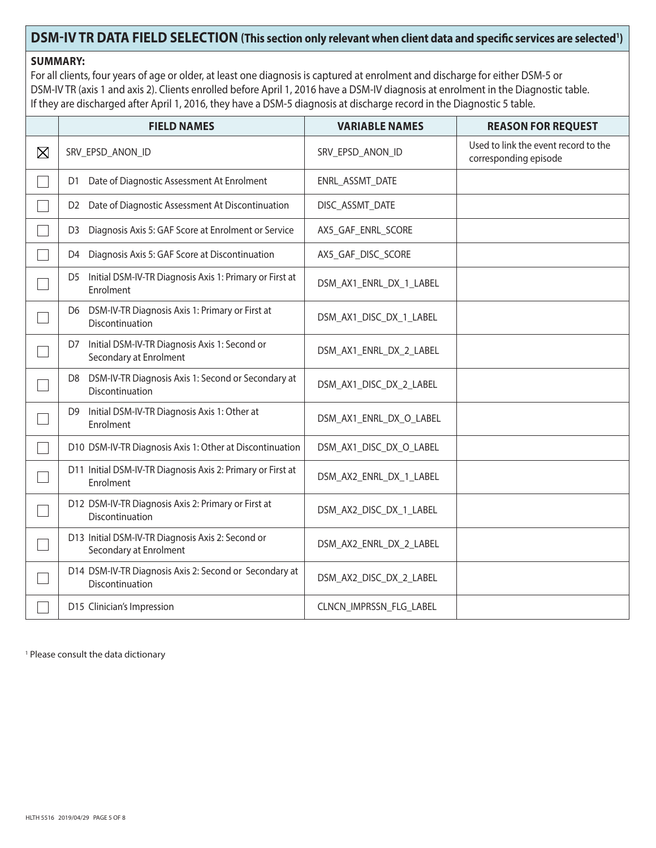## DSM-IV TR DATA FIELD SELECTION (This section only relevant when client data and specific services are selected<sup>1</sup>)

### **SUMMARY:**

For all clients, four years of age or older, at least one diagnosis is captured at enrolment and discharge for either DSM-5 or DSM-IV TR (axis 1 and axis 2). Clients enrolled before April 1, 2016 have a DSM-IV diagnosis at enrolment in the Diagnostic table. If they are discharged after April 1, 2016, they have a DSM-5 diagnosis at discharge record in the Diagnostic 5 table.

|             | <b>FIELD NAMES</b>                                                            | <b>VARIABLE NAMES</b>   | <b>REASON FOR REQUEST</b>                                     |
|-------------|-------------------------------------------------------------------------------|-------------------------|---------------------------------------------------------------|
| $\boxtimes$ | SRV_EPSD_ANON_ID                                                              | SRV_EPSD_ANON_ID        | Used to link the event record to the<br>corresponding episode |
|             | Date of Diagnostic Assessment At Enrolment<br>D1.                             | ENRL_ASSMT_DATE         |                                                               |
|             | D2 Date of Diagnostic Assessment At Discontinuation                           | DISC_ASSMT_DATE         |                                                               |
|             | Diagnosis Axis 5: GAF Score at Enrolment or Service<br>D3                     | AX5_GAF_ENRL_SCORE      |                                                               |
|             | Diagnosis Axis 5: GAF Score at Discontinuation<br>D4                          | AX5_GAF_DISC_SCORE      |                                                               |
|             | Initial DSM-IV-TR Diagnosis Axis 1: Primary or First at<br>D5<br>Enrolment    | DSM_AX1_ENRL_DX_1_LABEL |                                                               |
|             | D6 DSM-IV-TR Diagnosis Axis 1: Primary or First at<br>Discontinuation         | DSM_AX1_DISC_DX_1_LABEL |                                                               |
|             | Initial DSM-IV-TR Diagnosis Axis 1: Second or<br>D7<br>Secondary at Enrolment | DSM_AX1_ENRL_DX_2_LABEL |                                                               |
|             | D8 DSM-IV-TR Diagnosis Axis 1: Second or Secondary at<br>Discontinuation      | DSM_AX1_DISC_DX_2_LABEL |                                                               |
|             | Initial DSM-IV-TR Diagnosis Axis 1: Other at<br>D9<br>Enrolment               | DSM_AX1_ENRL_DX_O_LABEL |                                                               |
|             | D10 DSM-IV-TR Diagnosis Axis 1: Other at Discontinuation                      | DSM_AX1_DISC_DX_O_LABEL |                                                               |
|             | D11 Initial DSM-IV-TR Diagnosis Axis 2: Primary or First at<br>Enrolment      | DSM_AX2_ENRL_DX_1_LABEL |                                                               |
|             | D12 DSM-IV-TR Diagnosis Axis 2: Primary or First at<br>Discontinuation        | DSM_AX2_DISC_DX_1_LABEL |                                                               |
|             | D13 Initial DSM-IV-TR Diagnosis Axis 2: Second or<br>Secondary at Enrolment   | DSM_AX2_ENRL_DX_2_LABEL |                                                               |
|             | D14 DSM-IV-TR Diagnosis Axis 2: Second or Secondary at<br>Discontinuation     | DSM_AX2_DISC_DX_2_LABEL |                                                               |
|             | D15 Clinician's Impression                                                    | CLNCN_IMPRSSN_FLG_LABEL |                                                               |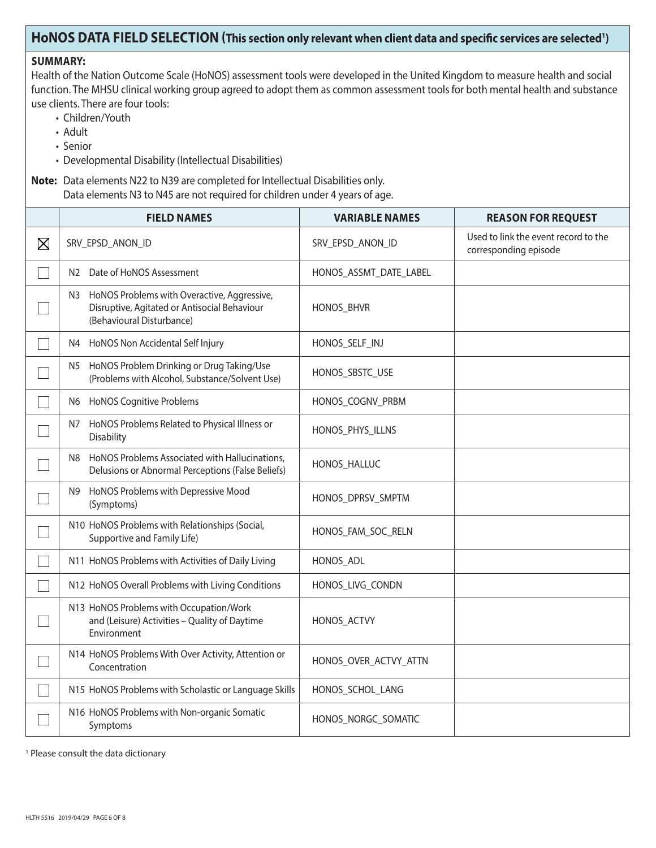### HoNOS DATA FIELD SELECTION (This section only relevant when client data and specific services are selected<sup>1</sup>)

### **SUMMARY:**

Health of the Nation Outcome Scale (HoNOS) assessment tools were developed in the United Kingdom to measure health and social function. The MHSU clinical working group agreed to adopt them as common assessment tools for both mental health and substance use clients. There are four tools:

- Children/Youth
- Adult
- Senior
- Developmental Disability (Intellectual Disabilities)

**Note:** Data elements N22 to N39 are completed for Intellectual Disabilities only. Data elements N3 to N45 are not required for children under 4 years of age.

|             | <b>FIELD NAMES</b>                                                                                                             | <b>VARIABLE NAMES</b>  | <b>REASON FOR REQUEST</b>                                     |
|-------------|--------------------------------------------------------------------------------------------------------------------------------|------------------------|---------------------------------------------------------------|
| $\boxtimes$ | SRV_EPSD_ANON_ID                                                                                                               | SRV_EPSD_ANON_ID       | Used to link the event record to the<br>corresponding episode |
|             | N2 Date of HoNOS Assessment                                                                                                    | HONOS_ASSMT_DATE_LABEL |                                                               |
|             | HoNOS Problems with Overactive, Aggressive,<br>N3<br>Disruptive, Agitated or Antisocial Behaviour<br>(Behavioural Disturbance) | HONOS_BHVR             |                                                               |
|             | HoNOS Non Accidental Self Injury<br>N4                                                                                         | HONOS_SELF_INJ         |                                                               |
|             | N5 HoNOS Problem Drinking or Drug Taking/Use<br>(Problems with Alcohol, Substance/Solvent Use)                                 | HONOS_SBSTC_USE        |                                                               |
|             | N6 HoNOS Cognitive Problems                                                                                                    | HONOS_COGNV_PRBM       |                                                               |
|             | HoNOS Problems Related to Physical Illness or<br>N7<br>Disability                                                              | HONOS_PHYS_ILLNS       |                                                               |
|             | HoNOS Problems Associated with Hallucinations,<br>N8<br>Delusions or Abnormal Perceptions (False Beliefs)                      | HONOS_HALLUC           |                                                               |
|             | HoNOS Problems with Depressive Mood<br>N9<br>(Symptoms)                                                                        | HONOS_DPRSV_SMPTM      |                                                               |
|             | N10 HoNOS Problems with Relationships (Social,<br>Supportive and Family Life)                                                  | HONOS_FAM_SOC_RELN     |                                                               |
|             | N11 HoNOS Problems with Activities of Daily Living                                                                             | HONOS_ADL              |                                                               |
|             | N12 HoNOS Overall Problems with Living Conditions                                                                              | HONOS_LIVG_CONDN       |                                                               |
|             | N13 HoNOS Problems with Occupation/Work<br>and (Leisure) Activities - Quality of Daytime<br>Environment                        | HONOS_ACTVY            |                                                               |
|             | N14 HoNOS Problems With Over Activity, Attention or<br>Concentration                                                           | HONOS_OVER_ACTVY_ATTN  |                                                               |
|             | N15 HoNOS Problems with Scholastic or Language Skills                                                                          | HONOS_SCHOL_LANG       |                                                               |
|             | N16 HoNOS Problems with Non-organic Somatic<br>Symptoms                                                                        | HONOS_NORGC_SOMATIC    |                                                               |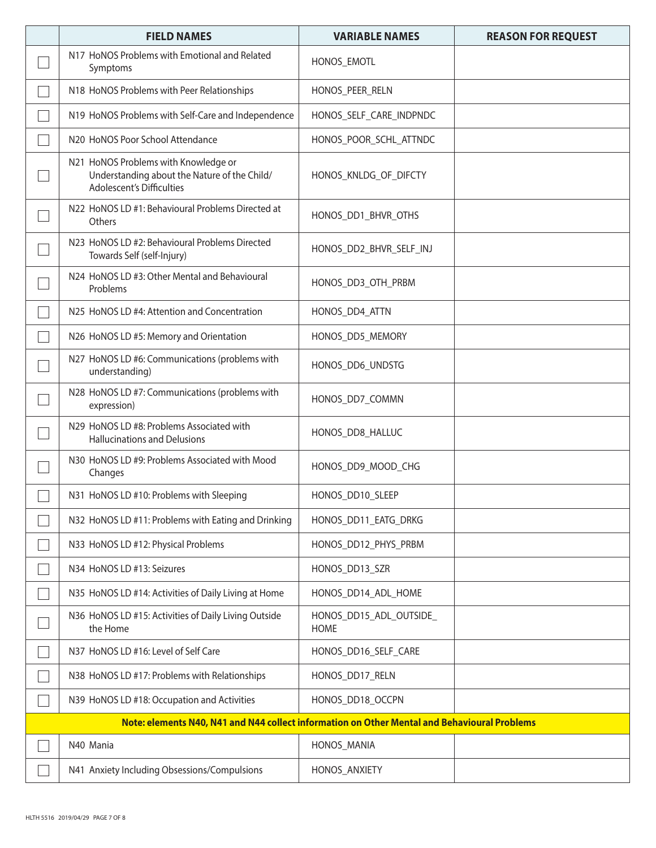| <b>FIELD NAMES</b>                                                                                                | <b>VARIABLE NAMES</b>                  | <b>REASON FOR REQUEST</b> |  |  |
|-------------------------------------------------------------------------------------------------------------------|----------------------------------------|---------------------------|--|--|
| N17 HoNOS Problems with Emotional and Related<br>Symptoms                                                         | HONOS_EMOTL                            |                           |  |  |
| N18 HoNOS Problems with Peer Relationships                                                                        | HONOS_PEER_RELN                        |                           |  |  |
| N19 HoNOS Problems with Self-Care and Independence                                                                | HONOS_SELF_CARE_INDPNDC                |                           |  |  |
| N20 HoNOS Poor School Attendance                                                                                  | HONOS_POOR_SCHL_ATTNDC                 |                           |  |  |
| N21 HoNOS Problems with Knowledge or<br>Understanding about the Nature of the Child/<br>Adolescent's Difficulties | HONOS_KNLDG_OF_DIFCTY                  |                           |  |  |
| N22 HoNOS LD #1: Behavioural Problems Directed at<br>Others                                                       | HONOS_DD1_BHVR_OTHS                    |                           |  |  |
| N23 HoNOS LD #2: Behavioural Problems Directed<br>Towards Self (self-Injury)                                      | HONOS_DD2_BHVR_SELF_INJ                |                           |  |  |
| N24 HoNOS LD #3: Other Mental and Behavioural<br>Problems                                                         | HONOS DD3 OTH PRBM                     |                           |  |  |
| N25 HoNOS LD #4: Attention and Concentration                                                                      | HONOS_DD4_ATTN                         |                           |  |  |
| N26 HoNOS LD #5: Memory and Orientation                                                                           | HONOS_DD5_MEMORY                       |                           |  |  |
| N27 HoNOS LD #6: Communications (problems with<br>understanding)                                                  | HONOS_DD6_UNDSTG                       |                           |  |  |
| N28 HoNOS LD #7: Communications (problems with<br>expression)                                                     | HONOS_DD7_COMMN                        |                           |  |  |
| N29 HoNOS LD #8: Problems Associated with<br><b>Hallucinations and Delusions</b>                                  | HONOS_DD8_HALLUC                       |                           |  |  |
| N30 HoNOS LD #9: Problems Associated with Mood<br>Changes                                                         | HONOS_DD9_MOOD_CHG                     |                           |  |  |
| N31 HoNOS LD #10: Problems with Sleeping                                                                          | HONOS_DD10_SLEEP                       |                           |  |  |
| N32 HoNOS LD #11: Problems with Eating and Drinking                                                               | HONOS_DD11_EATG_DRKG                   |                           |  |  |
| N33 HoNOS LD #12: Physical Problems                                                                               | HONOS_DD12_PHYS_PRBM                   |                           |  |  |
| N34 HoNOS LD #13: Seizures                                                                                        | HONOS_DD13_SZR                         |                           |  |  |
| N35 HoNOS LD #14: Activities of Daily Living at Home                                                              | HONOS_DD14_ADL_HOME                    |                           |  |  |
| N36 HoNOS LD #15: Activities of Daily Living Outside<br>the Home                                                  | HONOS_DD15_ADL_OUTSIDE_<br><b>HOME</b> |                           |  |  |
| N37 HoNOS LD #16: Level of Self Care                                                                              | HONOS_DD16_SELF_CARE                   |                           |  |  |
| N38 HoNOS LD #17: Problems with Relationships                                                                     | HONOS_DD17_RELN                        |                           |  |  |
| N39 HoNOS LD #18: Occupation and Activities                                                                       | HONOS_DD18_OCCPN                       |                           |  |  |
| Note: elements N40, N41 and N44 collect information on Other Mental and Behavioural Problems                      |                                        |                           |  |  |
| N40 Mania                                                                                                         | HONOS_MANIA                            |                           |  |  |
| N41 Anxiety Including Obsessions/Compulsions                                                                      | HONOS_ANXIETY                          |                           |  |  |